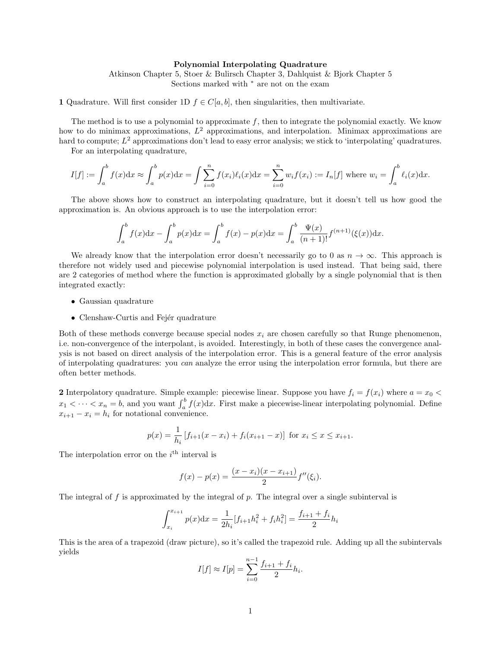#### Polynomial Interpolating Quadrature

Atkinson Chapter 5, Stoer & Bulirsch Chapter 3, Dahlquist & Bjork Chapter 5 Sections marked with <sup>∗</sup> are not on the exam

1 Quadrature. Will first consider 1D  $f \in C[a, b]$ , then singularities, then multivariate.

The method is to use a polynomial to approximate f, then to integrate the polynomial exactly. We know how to do minimax approximations,  $L^2$  approximations, and interpolation. Minimax approximations are hard to compute;  $L^2$  approximations don't lead to easy error analysis; we stick to 'interpolating' quadratures.

For an interpolating quadrature,

$$
I[f] := \int_a^b f(x)dx \approx \int_a^b p(x)dx = \int \sum_{i=0}^n f(x_i)\ell_i(x)dx = \sum_{i=0}^n w_i f(x_i) := I_n[f]
$$
 where  $w_i = \int_a^b \ell_i(x)dx$ .

The above shows how to construct an interpolating quadrature, but it doesn't tell us how good the approximation is. An obvious approach is to use the interpolation error:

$$
\int_{a}^{b} f(x)dx - \int_{a}^{b} p(x)dx = \int_{a}^{b} f(x) - p(x)dx = \int_{a}^{b} \frac{\Psi(x)}{(n+1)!} f^{(n+1)}(\xi(x))dx.
$$

We already know that the interpolation error doesn't necessarily go to 0 as  $n \to \infty$ . This approach is therefore not widely used and piecewise polynomial interpolation is used instead. That being said, there are 2 categories of method where the function is approximated globally by a single polynomial that is then integrated exactly:

- Gaussian quadrature
- Clenshaw-Curtis and Fejér quadrature

Both of these methods converge because special nodes  $x_i$  are chosen carefully so that Runge phenomenon, i.e. non-convergence of the interpolant, is avoided. Interestingly, in both of these cases the convergence analysis is not based on direct analysis of the interpolation error. This is a general feature of the error analysis of interpolating quadratures: you can analyze the error using the interpolation error formula, but there are often better methods.

2 Interpolatory quadrature. Simple example: piecewise linear. Suppose you have  $f_i = f(x_i)$  where  $a = x_0$  $x_1 < \cdots < x_n = b$ , and you want  $\int_a^b f(x) dx$ . First make a piecewise-linear interpolating polynomial. Define  $x_{i+1} - x_i = h_i$  for notational convenience.

$$
p(x) = \frac{1}{h_i} \left[ f_{i+1}(x - x_i) + f_i(x_{i+1} - x) \right] \text{ for } x_i \le x \le x_{i+1}.
$$

The interpolation error on the  $i<sup>th</sup>$  interval is

$$
f(x) - p(x) = \frac{(x - x_i)(x - x_{i+1})}{2}f''(\xi_i).
$$

The integral of f is approximated by the integral of  $p$ . The integral over a single subinterval is

$$
\int_{x_i}^{x_{i+1}} p(x) dx = \frac{1}{2h_i} [f_{i+1}h_i^2 + f_i h_i^2] = \frac{f_{i+1} + f_i}{2} h_i
$$

This is the area of a trapezoid (draw picture), so it's called the trapezoid rule. Adding up all the subintervals yields

$$
I[f] \approx I[p] = \sum_{i=0}^{n-1} \frac{f_{i+1} + f_i}{2} h_i.
$$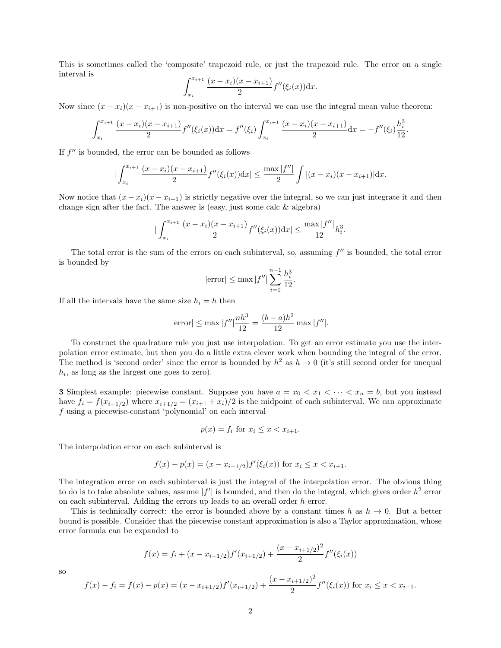This is sometimes called the 'composite' trapezoid rule, or just the trapezoid rule. The error on a single interval is

$$
\int_{x_i}^{x_{i+1}} \frac{(x-x_i)(x-x_{i+1})}{2} f''(\xi_i(x)) \mathrm{d}x.
$$

Now since  $(x - x_i)(x - x_{i+1})$  is non-positive on the interval we can use the integral mean value theorem:

$$
\int_{x_i}^{x_{i+1}} \frac{(x-x_i)(x-x_{i+1})}{2} f''(\xi_i(x)) dx = f''(\xi_i) \int_{x_i}^{x_{i+1}} \frac{(x-x_i)(x-x_{i+1})}{2} dx = -f''(\xi_i) \frac{h_i^3}{12}.
$$

If  $f''$  is bounded, the error can be bounded as follows

$$
\big|\int_{x_i}^{x_{i+1}}\frac{(x-x_i)(x-x_{i+1})}{2}f''(\xi_i(x))\mathrm{d}x\big| \le \frac{\max|f''|}{2}\int |(x-x_i)(x-x_{i+1})|\mathrm{d}x.
$$

Now notice that  $(x - x_i)(x - x_{i+1})$  is strictly negative over the integral, so we can just integrate it and then change sign after the fact. The answer is (easy, just some calc  $\&$  algebra)

$$
\left|\int_{x_i}^{x_{i+1}} \frac{(x-x_i)(x-x_{i+1})}{2} f''(\xi_i(x)) \mathrm{d}x\right| \le \frac{\max |f''|}{12} h_i^3.
$$

The total error is the sum of the errors on each subinterval, so, assuming  $f''$  is bounded, the total error is bounded by

$$
|\text{error}| \le \max |f''| \sum_{i=0}^{n-1} \frac{h_i^3}{12}.
$$

If all the intervals have the same size  $h_i = h$  then

$$
|\text{error}| \le \max |f''| \frac{nh^3}{12} = \frac{(b-a)h^2}{12} \max |f''|.
$$

To construct the quadrature rule you just use interpolation. To get an error estimate you use the interpolation error estimate, but then you do a little extra clever work when bounding the integral of the error. The method is 'second order' since the error is bounded by  $h^2$  as  $h \to 0$  (it's still second order for unequal  $h_i$ , as long as the largest one goes to zero).

**3** Simplest example: piecewise constant. Suppose you have  $a = x_0 < x_1 < \cdots < x_n = b$ , but you instead have  $f_i = f(x_{i+1/2})$  where  $x_{i+1/2} = (x_{i+1} + x_i)/2$  is the midpoint of each subinterval. We can approximate f using a piecewise-constant 'polynomial' on each interval

$$
p(x) = f_i \text{ for } x_i \le x < x_{i+1}.
$$

The interpolation error on each subinterval is

$$
f(x) - p(x) = (x - x_{i+1/2})f'(\xi_i(x))
$$
 for  $x_i \le x < x_{i+1}$ .

The integration error on each subinterval is just the integral of the interpolation error. The obvious thing to do is to take absolute values, assume  $|f'|$  is bounded, and then do the integral, which gives order  $h^2$  error on each subinterval. Adding the errors up leads to an overall order  $h$  error.

This is technically correct: the error is bounded above by a constant times h as  $h \to 0$ . But a better bound is possible. Consider that the piecewise constant approximation is also a Taylor approximation, whose error formula can be expanded to

$$
f(x) = f_i + (x - x_{i+1/2})f'(x_{i+1/2}) + \frac{(x - x_{i+1/2})^2}{2}f''(\xi_i(x))
$$

$$
\overline{SO}
$$

$$
f(x) - f_i = f(x) - p(x) = (x - x_{i+1/2})f'(x_{i+1/2}) + \frac{(x - x_{i+1/2})^2}{2}f''(\xi_i(x))
$$
 for  $x_i \le x < x_{i+1}$ .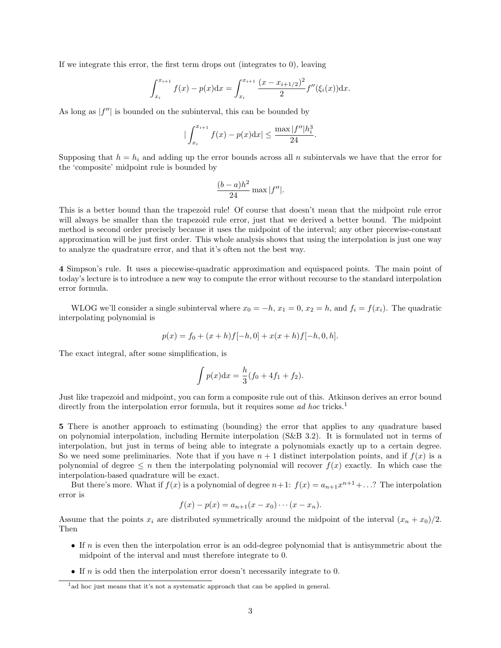If we integrate this error, the first term drops out (integrates to 0), leaving

$$
\int_{x_i}^{x_{i+1}} f(x) - p(x) \mathrm{d}x = \int_{x_i}^{x_{i+1}} \frac{(x - x_{i+1/2})^2}{2} f''(\xi_i(x)) \mathrm{d}x.
$$

As long as  $|f''|$  is bounded on the subinterval, this can be bounded by

$$
\left|\int_{x_i}^{x_{i+1}} f(x) - p(x) \mathrm{d}x\right| \le \frac{\max |f''| h_i^3}{24}.
$$

Supposing that  $h = h_i$  and adding up the error bounds across all n subintervals we have that the error for the 'composite' midpoint rule is bounded by

$$
\frac{(b-a)h^2}{24}\max|f''|.
$$

This is a better bound than the trapezoid rule! Of course that doesn't mean that the midpoint rule error will always be smaller than the trapezoid rule error, just that we derived a better bound. The midpoint method is second order precisely because it uses the midpoint of the interval; any other piecewise-constant approximation will be just first order. This whole analysis shows that using the interpolation is just one way to analyze the quadrature error, and that it's often not the best way.

4 Simpson's rule. It uses a piecewise-quadratic approximation and equispaced points. The main point of today's lecture is to introduce a new way to compute the error without recourse to the standard interpolation error formula.

WLOG we'll consider a single subinterval where  $x_0 = -h$ ,  $x_1 = 0$ ,  $x_2 = h$ , and  $f_i = f(x_i)$ . The quadratic interpolating polynomial is

$$
p(x) = f_0 + (x+h)f[-h,0] + x(x+h)f[-h,0,h].
$$

The exact integral, after some simplification, is

$$
\int p(x)dx = \frac{h}{3}(f_0 + 4f_1 + f_2).
$$

Just like trapezoid and midpoint, you can form a composite rule out of this. Atkinson derives an error bound directly from the interpolation error formula, but it requires some *ad hoc* tricks.<sup>[1](#page-2-0)</sup>

5 There is another approach to estimating (bounding) the error that applies to any quadrature based on polynomial interpolation, including Hermite interpolation (S&B 3.2). It is formulated not in terms of interpolation, but just in terms of being able to integrate a polynomials exactly up to a certain degree. So we need some preliminaries. Note that if you have  $n + 1$  distinct interpolation points, and if  $f(x)$  is a polynomial of degree  $\leq n$  then the interpolating polynomial will recover  $f(x)$  exactly. In which case the interpolation-based quadrature will be exact.

But there's more. What if  $f(x)$  is a polynomial of degree  $n+1$ :  $f(x) = a_{n+1}x^{n+1} + ...$ ? The interpolation error is

$$
f(x) - p(x) = a_{n+1}(x - x_0) \cdots (x - x_n).
$$

Assume that the points  $x_i$  are distributed symmetrically around the midpoint of the interval  $(x_n + x_0)/2$ . Then

- If  $n$  is even then the interpolation error is an odd-degree polynomial that is antisymmetric about the midpoint of the interval and must therefore integrate to 0.
- If  $n$  is odd then the interpolation error doesn't necessarily integrate to 0.

<span id="page-2-0"></span><sup>&</sup>lt;sup>1</sup>ad hoc just means that it's not a systematic approach that can be applied in general.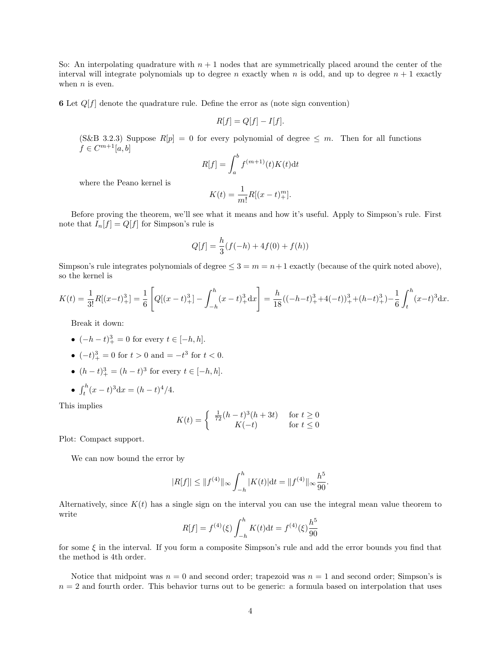So: An interpolating quadrature with  $n + 1$  nodes that are symmetrically placed around the center of the interval will integrate polynomials up to degree n exactly when n is odd, and up to degree  $n + 1$  exactly when  $n$  is even.

**6** Let  $Q[f]$  denote the quadrature rule. Define the error as (note sign convention)

$$
R[f] = Q[f] - I[f].
$$

(S&B 3.2.3) Suppose  $R[p] = 0$  for every polynomial of degree  $\leq m$ . Then for all functions  $f \in C^{m+1}[a,b]$ 

$$
R[f] = \int_{a}^{b} f^{(m+1)}(t)K(t)dt
$$

where the Peano kernel is

$$
K(t) = \frac{1}{m!}R[(x - t)^{m}_{+}].
$$

Before proving the theorem, we'll see what it means and how it's useful. Apply to Simpson's rule. First note that  $I_n[f] = Q[f]$  for Simpson's rule is

$$
Q[f] = \frac{h}{3}(f(-h) + 4f(0) + f(h))
$$

Simpson's rule integrates polynomials of degree  $\leq 3 = m = n+1$  exactly (because of the quirk noted above), so the kernel is

$$
K(t) = \frac{1}{3!}R[(x-t)^3] = \frac{1}{6}\left[Q[(x-t)^3] - \int_{-h}^{h} (x-t)^3 dx\right] = \frac{h}{18}((-h-t)^3) + 4(-t)^3 + (h-t)^3) - \frac{1}{6}\int_{t}^{h} (x-t)^3 dx.
$$

Break it down:

- $(-h t)_+^3 = 0$  for every  $t \in [-h, h].$
- $(-t)^3_+ = 0$  for  $t > 0$  and  $= -t^3$  for  $t < 0$ .
- $(h-t)^3_+ = (h-t)^3$  for every  $t \in [-h, h]$ .
- $\int_{t}^{h} (x t)^{3} dx = (h t)^{4}/4.$

This implies

$$
K(t) = \begin{cases} \frac{1}{72}(h-t)^3(h+3t) & \text{for } t \ge 0\\ K(-t) & \text{for } t \le 0 \end{cases}
$$

Plot: Compact support.

We can now bound the error by

$$
|R[f]| \le ||f^{(4)}||_{\infty} \int_{-h}^{h} |K(t)| dt = ||f^{(4)}||_{\infty} \frac{h^5}{90}.
$$

Alternatively, since  $K(t)$  has a single sign on the interval you can use the integral mean value theorem to write

$$
R[f] = f^{(4)}(\xi) \int_{-h}^{h} K(t) dt = f^{(4)}(\xi) \frac{h^5}{90}
$$

for some  $\xi$  in the interval. If you form a composite Simpson's rule and add the error bounds you find that the method is 4th order.

Notice that midpoint was  $n = 0$  and second order; trapezoid was  $n = 1$  and second order; Simpson's is  $n = 2$  and fourth order. This behavior turns out to be generic: a formula based on interpolation that uses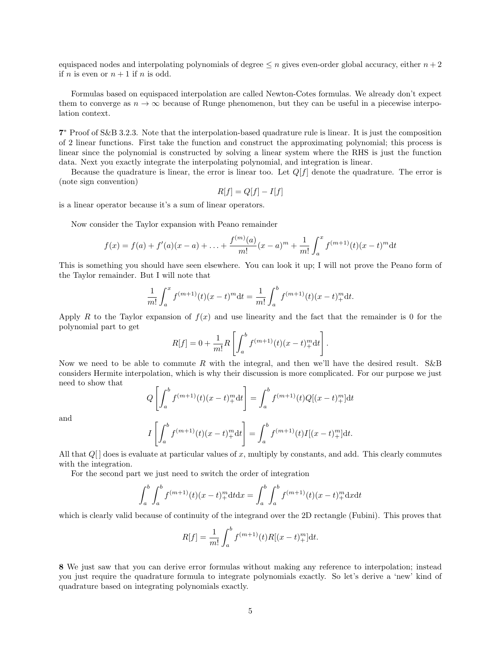equispaced nodes and interpolating polynomials of degree  $\leq n$  gives even-order global accuracy, either  $n+2$ if *n* is even or  $n + 1$  if *n* is odd.

Formulas based on equispaced interpolation are called Newton-Cotes formulas. We already don't expect them to converge as  $n \to \infty$  because of Runge phenomenon, but they can be useful in a piecewise interpolation context.

7 <sup>∗</sup> Proof of S&B 3.2.3. Note that the interpolation-based quadrature rule is linear. It is just the composition of 2 linear functions. First take the function and construct the approximating polynomial; this process is linear since the polynomial is constructed by solving a linear system where the RHS is just the function data. Next you exactly integrate the interpolating polynomial, and integration is linear.

Because the quadrature is linear, the error is linear too. Let  $Q[f]$  denote the quadrature. The error is (note sign convention)

$$
R[f] = Q[f] - I[f]
$$

is a linear operator because it's a sum of linear operators.

Now consider the Taylor expansion with Peano remainder

$$
f(x) = f(a) + f'(a)(x - a) + \ldots + \frac{f^{(m)}(a)}{m!}(x - a)^m + \frac{1}{m!} \int_a^x f^{(m+1)}(t)(x - t)^m dt
$$

This is something you should have seen elsewhere. You can look it up; I will not prove the Peano form of the Taylor remainder. But I will note that

$$
\frac{1}{m!} \int_a^x f^{(m+1)}(t)(x-t)^m dt = \frac{1}{m!} \int_a^b f^{(m+1)}(t)(x-t)^m_+ dt.
$$

Apply R to the Taylor expansion of  $f(x)$  and use linearity and the fact that the remainder is 0 for the polynomial part to get

$$
R[f] = 0 + \frac{1}{m!} R \left[ \int_a^b f^{(m+1)}(t) (x - t)_+^m \mathrm{d}t \right].
$$

Now we need to be able to commute R with the integral, and then we'll have the desired result.  $S\&B$ considers Hermite interpolation, which is why their discussion is more complicated. For our purpose we just need to show that

$$
Q\left[\int_{a}^{b} f^{(m+1)}(t)(x-t)_{+}^{m} \mathrm{d}t\right] = \int_{a}^{b} f^{(m+1)}(t) Q[(x-t)_{+}^{m}] \mathrm{d}t
$$

and

$$
I\left[\int_a^b f^{(m+1)}(t)(x-t)_+^m dt\right] = \int_a^b f^{(m+1)}(t)I[(x-t)_+^m]dt.
$$

All that  $Q[$  does is evaluate at particular values of x, multiply by constants, and add. This clearly commutes with the integration.

For the second part we just need to switch the order of integration

$$
\int_{a}^{b} \int_{a}^{b} f^{(m+1)}(t)(x-t)_{+}^{m} dt dx = \int_{a}^{b} \int_{a}^{b} f^{(m+1)}(t)(x-t)_{+}^{m} dx dt
$$

which is clearly valid because of continuity of the integrand over the 2D rectangle (Fubini). This proves that

$$
R[f] = \frac{1}{m!} \int_a^b f^{(m+1)}(t) R[(x-t)_+^m] dt.
$$

8 We just saw that you can derive error formulas without making any reference to interpolation; instead you just require the quadrature formula to integrate polynomials exactly. So let's derive a 'new' kind of quadrature based on integrating polynomials exactly.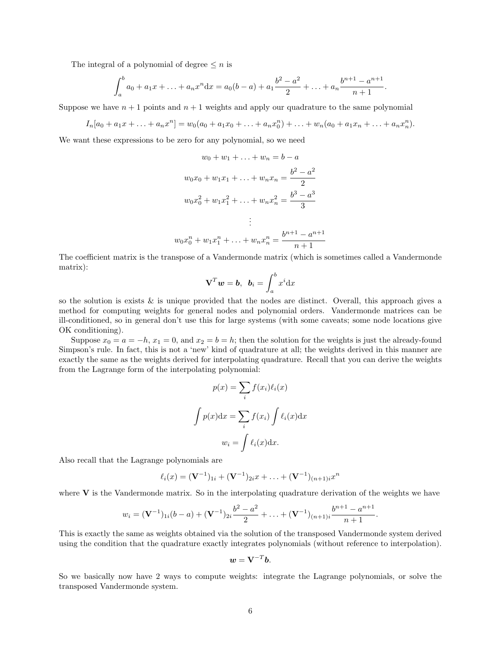The integral of a polynomial of degree  $\leq n$  is

$$
\int_a^b a_0 + a_1 x + \ldots + a_n x^n dx = a_0 (b - a) + a_1 \frac{b^2 - a^2}{2} + \ldots + a_n \frac{b^{n+1} - a^{n+1}}{n+1}.
$$

Suppose we have  $n + 1$  points and  $n + 1$  weights and apply our quadrature to the same polynomial

$$
I_n[a_0 + a_1x + \ldots + a_nx^n] = w_0(a_0 + a_1x_0 + \ldots + a_nx_0^n) + \ldots + w_n(a_0 + a_1x_n + \ldots + a_nx_n^n).
$$

We want these expressions to be zero for any polynomial, so we need

$$
w_0 + w_1 + \dots + w_n = b - a
$$
  

$$
w_0x_0 + w_1x_1 + \dots + w_nx_n = \frac{b^2 - a^2}{2}
$$
  

$$
w_0x_0^2 + w_1x_1^2 + \dots + w_nx_n^2 = \frac{b^3 - a^3}{3}
$$
  

$$
\vdots
$$
  

$$
w_0x_0^n + w_1x_1^n + \dots + w_nx_n^n = \frac{b^{n+1} - a^{n+1}}{n+1}
$$

The coefficient matrix is the transpose of a Vandermonde matrix (which is sometimes called a Vandermonde matrix):

$$
\mathbf{V}^T \boldsymbol{w} = \boldsymbol{b}, \ \boldsymbol{b}_i = \int_a^b x^i \mathrm{d}x
$$

so the solution is exists & is unique provided that the nodes are distinct. Overall, this approach gives a method for computing weights for general nodes and polynomial orders. Vandermonde matrices can be ill-conditioned, so in general don't use this for large systems (with some caveats; some node locations give OK conditioning).

Suppose  $x_0 = a = -h$ ,  $x_1 = 0$ , and  $x_2 = b = h$ ; then the solution for the weights is just the already-found Simpson's rule. In fact, this is not a 'new' kind of quadrature at all; the weights derived in this manner are exactly the same as the weights derived for interpolating quadrature. Recall that you can derive the weights from the Lagrange form of the interpolating polynomial:

$$
p(x) = \sum_{i} f(x_i) \ell_i(x)
$$

$$
\int p(x) dx = \sum_{i} f(x_i) \int \ell_i(x) dx
$$

$$
w_i = \int \ell_i(x) dx.
$$

Also recall that the Lagrange polynomials are

$$
\ell_i(x) = (\mathbf{V}^{-1})_{1i} + (\mathbf{V}^{-1})_{2i}x + \ldots + (\mathbf{V}^{-1})_{(n+1)i}x^n
$$

where  $V$  is the Vandermonde matrix. So in the interpolating quadrature derivation of the weights we have

$$
w_i = (\mathbf{V}^{-1})_{1i}(b-a) + (\mathbf{V}^{-1})_{2i}\frac{b^2-a^2}{2} + \ldots + (\mathbf{V}^{-1})_{(n+1)i}\frac{b^{n+1}-a^{n+1}}{n+1}.
$$

This is exactly the same as weights obtained via the solution of the transposed Vandermonde system derived using the condition that the quadrature exactly integrates polynomials (without reference to interpolation).

$$
\mathbf{w} = \mathbf{V}^{-T} \mathbf{b}.
$$

So we basically now have 2 ways to compute weights: integrate the Lagrange polynomials, or solve the transposed Vandermonde system.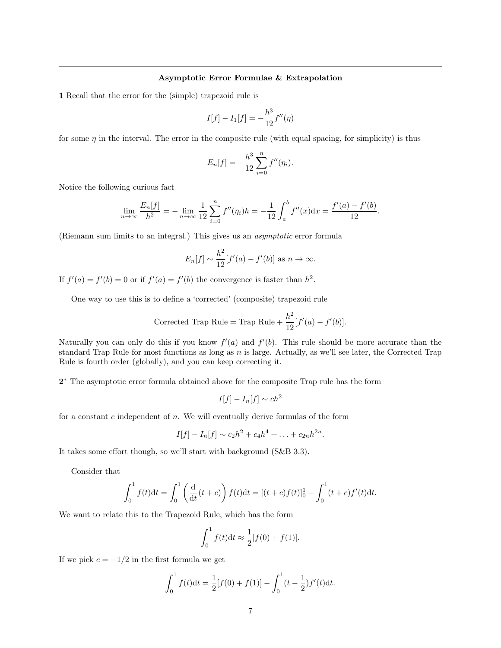# Asymptotic Error Formulae & Extrapolation

1 Recall that the error for the (simple) trapezoid rule is

$$
I[f] - I_1[f] = -\frac{h^3}{12}f''(\eta)
$$

for some  $\eta$  in the interval. The error in the composite rule (with equal spacing, for simplicity) is thus

$$
E_n[f] = -\frac{h^3}{12} \sum_{i=0}^n f''(\eta_i).
$$

Notice the following curious fact

$$
\lim_{n \to \infty} \frac{E_n[f]}{h^2} = -\lim_{n \to \infty} \frac{1}{12} \sum_{i=0}^n f''(\eta_i) h = -\frac{1}{12} \int_a^b f''(x) dx = \frac{f'(a) - f'(b)}{12}.
$$

(Riemann sum limits to an integral.) This gives us an asymptotic error formula

$$
E_n[f] \sim \frac{h^2}{12} [f'(a) - f'(b)] \text{ as } n \to \infty.
$$

If  $f'(a) = f'(b) = 0$  or if  $f'(a) = f'(b)$  the convergence is faster than  $h^2$ .

One way to use this is to define a 'corrected' (composite) trapezoid rule

Corrected Trap Rule = Trap Rule + 
$$
\frac{h^2}{12}[f'(a) - f'(b)].
$$

Naturally you can only do this if you know  $f'(a)$  and  $f'(b)$ . This rule should be more accurate than the standard Trap Rule for most functions as long as n is large. Actually, as we'll see later, the Corrected Trap Rule is fourth order (globally), and you can keep correcting it.

2<sup>\*</sup> The asymptotic error formula obtained above for the composite Trap rule has the form

$$
I[f] - I_n[f] \sim ch^2
$$

for a constant  $c$  independent of  $n$ . We will eventually derive formulas of the form

$$
I[f] - I_n[f] \sim c_2 h^2 + c_4 h^4 + \ldots + c_{2n} h^{2n}.
$$

It takes some effort though, so we'll start with background (S&B 3.3).

Consider that

$$
\int_0^1 f(t)dt = \int_0^1 \left(\frac{d}{dt}(t+c)\right) f(t)dt = [(t+c)f(t)]_0^1 - \int_0^1 (t+c)f'(t)dt.
$$

We want to relate this to the Trapezoid Rule, which has the form

$$
\int_0^1 f(t) \mathrm{d}t \approx \frac{1}{2} [f(0) + f(1)].
$$

If we pick  $c = -1/2$  in the first formula we get

$$
\int_0^1 f(t)dt = \frac{1}{2}[f(0) + f(1)] - \int_0^1 (t - \frac{1}{2})f'(t)dt.
$$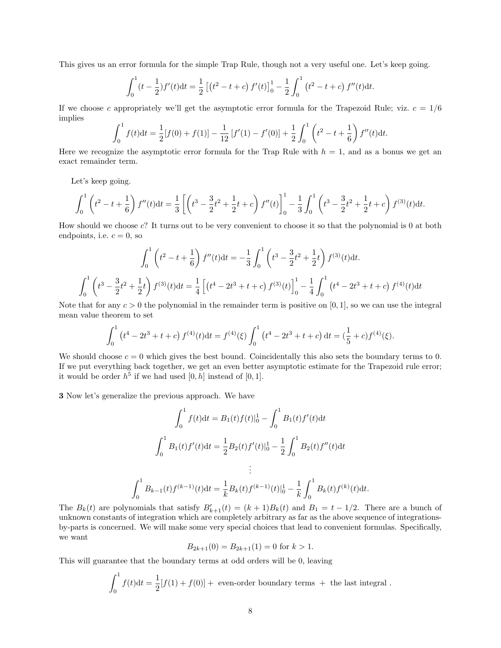This gives us an error formula for the simple Trap Rule, though not a very useful one. Let's keep going.

$$
\int_0^1 (t - \frac{1}{2}) f'(t) dt = \frac{1}{2} \left[ \left( t^2 - t + c \right) f'(t) \right]_0^1 - \frac{1}{2} \int_0^1 \left( t^2 - t + c \right) f''(t) dt.
$$

If we choose c appropriately we'll get the asymptotic error formula for the Trapezoid Rule; viz.  $c = 1/6$ implies

$$
\int_0^1 f(t)dt = \frac{1}{2}[f(0) + f(1)] - \frac{1}{12}[f'(1) - f'(0)] + \frac{1}{2}\int_0^1 \left(t^2 - t + \frac{1}{6}\right)f''(t)dt.
$$

Here we recognize the asymptotic error formula for the Trap Rule with  $h = 1$ , and as a bonus we get an exact remainder term.

Let's keep going.

$$
\int_0^1 \left(t^2 - t + \frac{1}{6}\right) f''(t) dt = \frac{1}{3} \left[ \left(t^3 - \frac{3}{2}t^2 + \frac{1}{2}t + c\right) f''(t) \right]_0^1 - \frac{1}{3} \int_0^1 \left(t^3 - \frac{3}{2}t^2 + \frac{1}{2}t + c\right) f^{(3)}(t) dt.
$$

How should we choose c? It turns out to be very convenient to choose it so that the polynomial is 0 at both endpoints, i.e.  $c = 0$ , so

$$
\int_0^1 \left(t^2 - t + \frac{1}{6}\right) f''(t) dt = -\frac{1}{3} \int_0^1 \left(t^3 - \frac{3}{2}t^2 + \frac{1}{2}t\right) f^{(3)}(t) dt.
$$

$$
\int_0^1 \left(t^3 - \frac{3}{2}t^2 + \frac{1}{2}t\right) f^{(3)}(t) dt = \frac{1}{4} \left[ \left(t^4 - 2t^3 + t + c\right) f^{(3)}(t) \right]_0^1 - \frac{1}{4} \int_0^1 \left(t^4 - 2t^3 + t + c\right) f^{(4)}(t) dt
$$

Note that for any  $c > 0$  the polynomial in the remainder term is positive on [0, 1], so we can use the integral mean value theorem to set

$$
\int_0^1 (t^4 - 2t^3 + t + c) f^{(4)}(t) dt = f^{(4)}(\xi) \int_0^1 (t^4 - 2t^3 + t + c) dt = (\frac{1}{5} + c) f^{(4)}(\xi).
$$

We should choose  $c = 0$  which gives the best bound. Coincidentally this also sets the boundary terms to 0. If we put everything back together, we get an even better asymptotic estimate for the Trapezoid rule error; it would be order  $h^5$  if we had used  $[0, h]$  instead of  $[0, 1]$ .

3 Now let's generalize the previous approach. We have

$$
\int_0^1 f(t)dt = B_1(t)f(t)|_0^1 - \int_0^1 B_1(t)f'(t)dt
$$

$$
\int_0^1 B_1(t)f'(t)dt = \frac{1}{2}B_2(t)f'(t)|_0^1 - \frac{1}{2}\int_0^1 B_2(t)f''(t)dt
$$

$$
\vdots
$$

$$
\int_0^1 B_{k-1}(t)f^{(k-1)}(t)dt = \frac{1}{k}B_k(t)f^{(k-1)}(t)|_0^1 - \frac{1}{k}\int_0^1 B_k(t)f^{(k)}(t)dt.
$$

The  $B_k(t)$  are polynomials that satisfy  $B'_{k+1}(t) = (k+1)B_k(t)$  and  $B_1 = t - 1/2$ . There are a bunch of unknown constants of integration which are completely arbitrary as far as the above sequence of integrationsby-parts is concerned. We will make some very special choices that lead to convenient formulas. Specifically, we want

$$
B_{2k+1}(0) = B_{2k+1}(1) = 0
$$
 for  $k > 1$ .

This will guarantee that the boundary terms at odd orders will be 0, leaving

$$
\int_0^1 f(t)dt = \frac{1}{2}[f(1) + f(0)] + \text{ even-order boundary terms } + \text{ the last integral }.
$$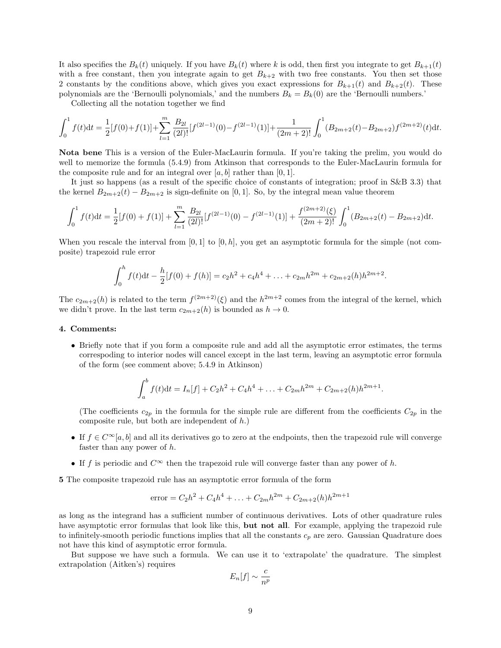It also specifies the  $B_k(t)$  uniquely. If you have  $B_k(t)$  where k is odd, then first you integrate to get  $B_{k+1}(t)$ with a free constant, then you integrate again to get  $B_{k+2}$  with two free constants. You then set those 2 constants by the conditions above, which gives you exact expressions for  $B_{k+1}(t)$  and  $B_{k+2}(t)$ . These polynomials are the 'Bernoulli polynomials,' and the numbers  $B_k = B_k(0)$  are the 'Bernoulli numbers.'

Collecting all the notation together we find

$$
\int_0^1 f(t)dt = \frac{1}{2}[f(0) + f(1)] + \sum_{l=1}^m \frac{B_{2l}}{(2l)!} [f^{(2l-1)}(0) - f^{(2l-1)}(1)] + \frac{1}{(2m+2)!} \int_0^1 (B_{2m+2}(t) - B_{2m+2}) f^{(2m+2)}(t)dt.
$$

Nota bene This is a version of the Euler-MacLaurin formula. If you're taking the prelim, you would do well to memorize the formula (5.4.9) from Atkinson that corresponds to the Euler-MacLaurin formula for the composite rule and for an integral over  $[a, b]$  rather than  $[0, 1]$ .

It just so happens (as a result of the specific choice of constants of integration; proof in S&B 3.3) that the kernel  $B_{2m+2}(t) - B_{2m+2}$  is sign-definite on [0,1]. So, by the integral mean value theorem

$$
\int_0^1 f(t)dt = \frac{1}{2}[f(0) + f(1)] + \sum_{l=1}^m \frac{B_{2l}}{(2l)!} [f^{(2l-1)}(0) - f^{(2l-1)}(1)] + \frac{f^{(2m+2)}(\xi)}{(2m+2)!} \int_0^1 (B_{2m+2}(t) - B_{2m+2})dt.
$$

When you rescale the interval from  $[0, 1]$  to  $[0, h]$ , you get an asymptotic formula for the simple (not composite) trapezoid rule error

$$
\int_0^h f(t)dt - \frac{h}{2}[f(0) + f(h)] = c_2h^2 + c_4h^4 + \ldots + c_{2m}h^{2m} + c_{2m+2}(h)h^{2m+2}.
$$

The  $c_{2m+2}(h)$  is related to the term  $f^{(2m+2)}(\xi)$  and the  $h^{2m+2}$  comes from the integral of the kernel, which we didn't prove. In the last term  $c_{2m+2}(h)$  is bounded as  $h \to 0$ .

## 4. Comments:

• Briefly note that if you form a composite rule and add all the asymptotic error estimates, the terms correspoding to interior nodes will cancel except in the last term, leaving an asymptotic error formula of the form (see comment above; 5.4.9 in Atkinson)

$$
\int_a^b f(t)dt = I_n[f] + C_2h^2 + C_4h^4 + \ldots + C_{2m}h^{2m} + C_{2m+2}(h)h^{2m+1}.
$$

(The coefficients  $c_{2p}$  in the formula for the simple rule are different from the coefficients  $C_{2p}$  in the composite rule, but both are independent of h.)

- If  $f \in C^{\infty}[a, b]$  and all its derivatives go to zero at the endpoints, then the trapezoid rule will converge faster than any power of h.
- If f is periodic and  $C^{\infty}$  then the trapezoid rule will converge faster than any power of h.

5 The composite trapezoid rule has an asymptotic error formula of the form

error = 
$$
C_2h^2 + C_4h^4 + \dots + C_{2m}h^{2m} + C_{2m+2}(h)h^{2m+1}
$$

as long as the integrand has a sufficient number of continuous derivatives. Lots of other quadrature rules have asymptotic error formulas that look like this, but not all. For example, applying the trapezoid rule to infinitely-smooth periodic functions implies that all the constants  $c_p$  are zero. Gaussian Quadrature does not have this kind of asymptotic error formula.

But suppose we have such a formula. We can use it to 'extrapolate' the quadrature. The simplest extrapolation (Aitken's) requires

$$
E_n[f] \sim \frac{c}{n^p}
$$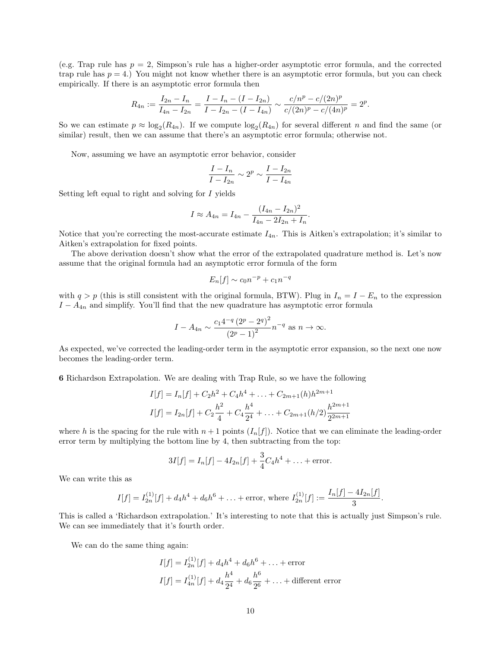(e.g. Trap rule has  $p = 2$ , Simpson's rule has a higher-order asymptotic error formula, and the corrected trap rule has  $p = 4$ .) You might not know whether there is an asymptotic error formula, but you can check empirically. If there is an asymptotic error formula then

$$
R_{4n} := \frac{I_{2n} - I_n}{I_{4n} - I_{2n}} = \frac{I - I_n - (I - I_{2n})}{I - I_{2n} - (I - I_{4n})} \sim \frac{c/n^p - c/(2n)^p}{c/(2n)^p - c/(4n)^p} = 2^p.
$$

So we can estimate  $p \approx \log_2(R_{4n})$ . If we compute  $\log_2(R_{4n})$  for several different n and find the same (or similar) result, then we can assume that there's an asymptotic error formula; otherwise not.

Now, assuming we have an asymptotic error behavior, consider

$$
\frac{I - I_n}{I - I_{2n}} \sim 2^p \sim \frac{I - I_{2n}}{I - I_{4n}}
$$

Setting left equal to right and solving for I yields

$$
I \approx A_{4n} = I_{4n} - \frac{(I_{4n} - I_{2n})^2}{I_{4n} - 2I_{2n} + I_n}.
$$

Notice that you're correcting the most-accurate estimate  $I_{4n}$ . This is Aitken's extrapolation; it's similar to Aitken's extrapolation for fixed points.

The above derivation doesn't show what the error of the extrapolated quadrature method is. Let's now assume that the original formula had an asymptotic error formula of the form

$$
E_n[f] \sim c_0 n^{-p} + c_1 n^{-q}
$$

with  $q > p$  (this is still consistent with the original formula, BTW). Plug in  $I_n = I - E_n$  to the expression  $I - A_{4n}$  and simplify. You'll find that the new quadrature has asymptotic error formula

$$
I - A_{4n} \sim \frac{c_1 4^{-q} (2^p - 2^q)^2}{(2^p - 1)^2} n^{-q} \text{ as } n \to \infty.
$$

As expected, we've corrected the leading-order term in the asymptotic error expansion, so the next one now becomes the leading-order term.

6 Richardson Extrapolation. We are dealing with Trap Rule, so we have the following

$$
I[f] = I_n[f] + C_2 h^2 + C_4 h^4 + \dots + C_{2m+1}(h)h^{2m+1}
$$
  

$$
I[f] = I_{2n}[f] + C_2 \frac{h^2}{4} + C_4 \frac{h^4}{2^4} + \dots + C_{2m+1}(h/2) \frac{h^{2m+1}}{2^{2m+1}}
$$

where h is the spacing for the rule with  $n+1$  points  $(I_n[f])$ . Notice that we can eliminate the leading-order error term by multiplying the bottom line by 4, then subtracting from the top:

$$
3I[f] = I_n[f] - 4I_{2n}[f] + \frac{3}{4}C_4h^4 + \dots + \text{error}.
$$

We can write this as

$$
I[f] = I_{2n}^{(1)}[f] + d_4h^4 + d_6h^6 + \ldots + \text{error, where } I_{2n}^{(1)}[f] := \frac{I_n[f] - 4I_{2n}[f]}{3}.
$$

This is called a 'Richardson extrapolation.' It's interesting to note that this is actually just Simpson's rule. We can see immediately that it's fourth order.

We can do the same thing again:

$$
I[f] = I_{2n}^{(1)}[f] + d_4 h^4 + d_6 h^6 + \dots + \text{error}
$$
  

$$
I[f] = I_{4n}^{(1)}[f] + d_4 \frac{h^4}{2^4} + d_6 \frac{h^6}{2^6} + \dots + \text{different error}
$$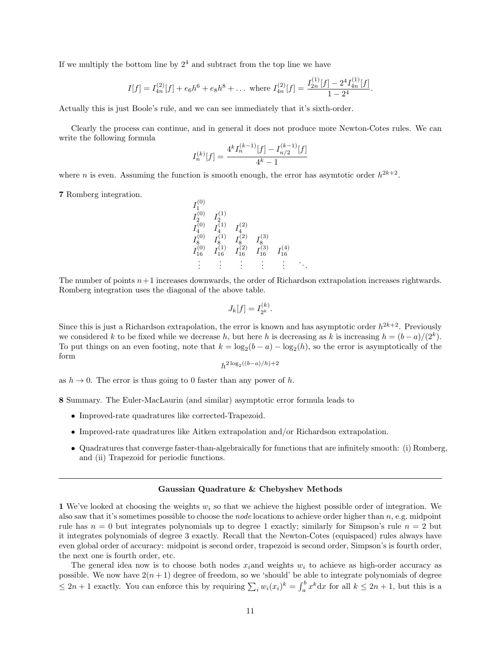If we multiply the bottom line by  $2<sup>4</sup>$  and subtract from the top line we have

$$
I[f] = I_{4n}^{(2)}[f] + e_6 h^6 + e_8 h^8 + \dots
$$
 where  $I_{4n}^{(2)}[f] = \frac{I_{2n}^{(1)}[f] - 2^4 I_{4n}^{(1)}[f]}{1 - 2^4}.$ 

Actually this is just Boole's rule, and we can see immediately that it's sixth-order.

 $(0)$ 

Clearly the process can continue, and in general it does not produce more Newton-Cotes rules. We can write the following formula

$$
I_n^{(k)}[f] = \frac{4^k I_n^{(k-1)}[f] - I_{n/2}^{(k-1)}[f]}{4^k - 1}
$$

where *n* is even. Assuming the function is smooth enough, the error has asymtotic order  $h^{2k+2}$ .

7 Romberg integration.

$$
\begin{array}{llll} I_1^{(0)} & & & \\ I_2^{(0)} & I_2^{(1)} & & \\ I_4^{(0)} & I_4^{(1)} & I_4^{(2)} & \\ I_8^{(0)} & I_8^{(1)} & I_8^{(2)} & I_8^{(3)} & \\ I_{16}^{(0)} & I_{16}^{(1)} & I_{16}^{(2)} & I_{16}^{(3)} & I_{16}^{(4)} & \\ & \vdots & \vdots & \vdots & \vdots & \vdots & \ddots \end{array}
$$

The number of points  $n+1$  increases downwards, the order of Richardson extrapolation increases rightwards. Romberg integration uses the diagonal of the above table.

$$
J_k[f] = I_{2^k}^{(k)}.
$$

Since this is just a Richardson extrapolation, the error is known and has asymptotic order  $h^{2k+2}$ . Previously we considered k to be fixed while we decrease h, but here h is decreasing as k is increasing  $h = (b - a)/(2^k)$ . To put things on an even footing, note that  $k = \log_2(b - a) - \log_2(h)$ , so the error is asymptotically of the form

$$
h^{2\log_2((b-a)/h)+2}
$$

as  $h \to 0$ . The error is thus going to 0 faster than any power of h.

8 Summary. The Euler-MacLaurin (and similar) asymptotic error formula leads to

- Improved-rate quadratures like corrected-Trapezoid.
- Improved-rate quadratures like Aitken extrapolation and/or Richardson extrapolation.
- Quadratures that converge faster-than-algebraically for functions that are infinitely smooth: (i) Romberg, and (ii) Trapezoid for periodic functions.

## Gaussian Quadrature & Chebyshev Methods

1 We've looked at choosing the weights  $w_i$  so that we achieve the highest possible order of integration. We also saw that it's sometimes possible to choose the node locations to achieve order higher than n, e.g. midpoint rule has  $n = 0$  but integrates polynomials up to degree 1 exactly; similarly for Simpson's rule  $n = 2$  but it integrates polynomials of degree 3 exactly. Recall that the Newton-Cotes (equispaced) rules always have even global order of accuracy: midpoint is second order, trapezoid is second order, Simpson's is fourth order, the next one is fourth order, etc.

The general idea now is to choose both nodes  $x_i$  and weights  $w_i$  to achieve as high-order accuracy as possible. We now have  $2(n + 1)$  degree of freedom, so we 'should' be able to integrate polynomials of degree  $\leq 2n+1$  exactly. You can enforce this by requiring  $\sum_i w_i(x_i)^k = \int_a^b x^k dx$  for all  $k \leq 2n+1$ , but this is a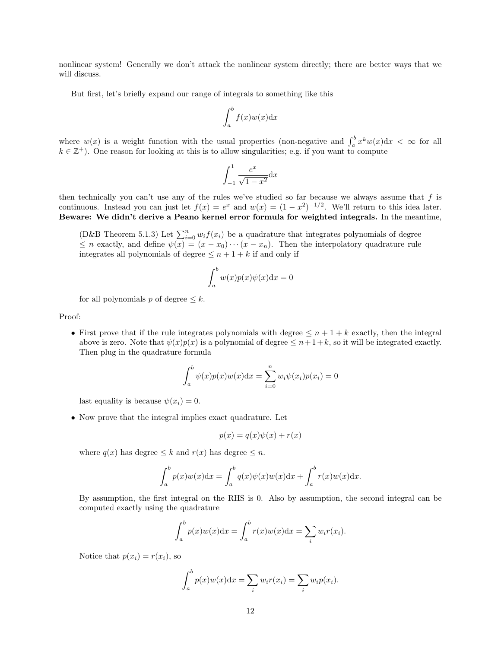nonlinear system! Generally we don't attack the nonlinear system directly; there are better ways that we will discuss.

But first, let's briefly expand our range of integrals to something like this

$$
\int_{a}^{b} f(x)w(x) \mathrm{d}x
$$

where  $w(x)$  is a weight function with the usual properties (non-negative and  $\int_a^b x^k w(x) dx < \infty$  for all  $k \in \mathbb{Z}^+$ ). One reason for looking at this is to allow singularities; e.g. if you want to compute

$$
\int_{-1}^{1} \frac{e^x}{\sqrt{1 - x^2}} \mathrm{d}x
$$

then technically you can't use any of the rules we've studied so far because we always assume that  $f$  is continuous. Instead you can just let  $f(x) = e^x$  and  $w(x) = (1 - x^2)^{-1/2}$ . We'll return to this idea later. Beware: We didn't derive a Peano kernel error formula for weighted integrals. In the meantime,

(D&B Theorem 5.1.3) Let  $\sum_{i=0}^{n} w_i f(x_i)$  be a quadrature that integrates polynomials of degree  $\leq n$  exactly, and define  $\psi(x) = (x - x_0) \cdots (x - x_n)$ . Then the interpolatory quadrature rule integrates all polynomials of degree  $\leq n+1+k$  if and only if

$$
\int_a^b w(x)p(x)\psi(x)dx = 0
$$

for all polynomials p of degree  $\leq k$ .

Proof:

• First prove that if the rule integrates polynomials with degree  $\leq n+1+k$  exactly, then the integral above is zero. Note that  $\psi(x)p(x)$  is a polynomial of degree  $\leq n+1+k$ , so it will be integrated exactly. Then plug in the quadrature formula

$$
\int_a^b \psi(x)p(x)w(x)dx = \sum_{i=0}^n w_i \psi(x_i)p(x_i) = 0
$$

last equality is because  $\psi(x_i) = 0$ .

• Now prove that the integral implies exact quadrature. Let

$$
p(x) = q(x)\psi(x) + r(x)
$$

where  $q(x)$  has degree  $\leq k$  and  $r(x)$  has degree  $\leq n$ .

$$
\int_a^b p(x)w(x)dx = \int_a^b q(x)\psi(x)w(x)dx + \int_a^b r(x)w(x)dx.
$$

By assumption, the first integral on the RHS is 0. Also by assumption, the second integral can be computed exactly using the quadrature

$$
\int_a^b p(x)w(x)dx = \int_a^b r(x)w(x)dx = \sum_i w_i r(x_i).
$$

Notice that  $p(x_i) = r(x_i)$ , so

$$
\int_a^b p(x)w(x)dx = \sum_i w_i r(x_i) = \sum_i w_i p(x_i).
$$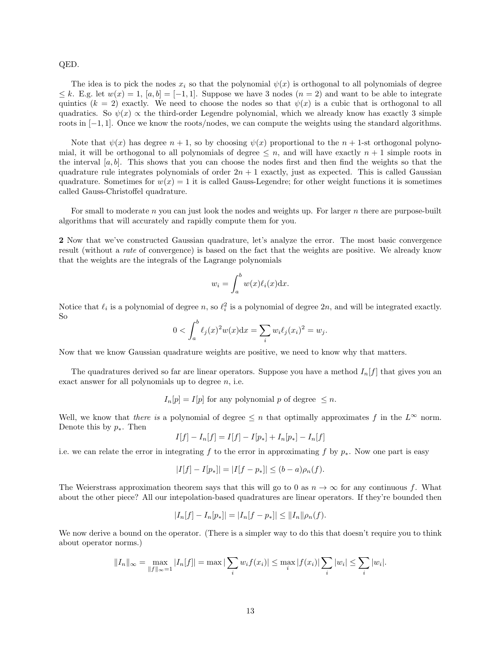# QED.

The idea is to pick the nodes  $x_i$  so that the polynomial  $\psi(x)$  is orthogonal to all polynomials of degree  $\leq k$ . E.g. let  $w(x) = 1$ ,  $[a, b] = [-1, 1]$ . Suppose we have 3 nodes  $(n = 2)$  and want to be able to integrate quintics  $(k = 2)$  exactly. We need to choose the nodes so that  $\psi(x)$  is a cubic that is orthogonal to all quadratics. So  $\psi(x) \propto$  the third-order Legendre polynomial, which we already know has exactly 3 simple roots in [−1, 1]. Once we know the roots/nodes, we can compute the weights using the standard algorithms.

Note that  $\psi(x)$  has degree  $n + 1$ , so by choosing  $\psi(x)$  proportional to the  $n + 1$ -st orthogonal polynomial, it will be orthogonal to all polynomials of degree  $\leq n$ , and will have exactly  $n+1$  simple roots in the interval  $[a, b]$ . This shows that you can choose the nodes first and then find the weights so that the quadrature rule integrates polynomials of order  $2n + 1$  exactly, just as expected. This is called Gaussian quadrature. Sometimes for  $w(x) = 1$  it is called Gauss-Legendre; for other weight functions it is sometimes called Gauss-Christoffel quadrature.

For small to moderate n you can just look the nodes and weights up. For larger n there are purpose-built algorithms that will accurately and rapidly compute them for you.

2 Now that we've constructed Gaussian quadrature, let's analyze the error. The most basic convergence result (without a rate of convergence) is based on the fact that the weights are positive. We already know that the weights are the integrals of the Lagrange polynomials

$$
w_i = \int_a^b w(x)\ell_i(x) \mathrm{d}x.
$$

Notice that  $\ell_i$  is a polynomial of degree n, so  $\ell_i^2$  is a polynomial of degree  $2n$ , and will be integrated exactly. So

$$
0 < \int_a^b \ell_j(x)^2 w(x) dx = \sum_i w_i \ell_j(x_i)^2 = w_j.
$$

Now that we know Gaussian quadrature weights are positive, we need to know why that matters.

The quadratures derived so far are linear operators. Suppose you have a method  $I_n[f]$  that gives you an exact answer for all polynomials up to degree  $n$ , i.e.

 $I_n[p] = I[p]$  for any polynomial p of degree  $\leq n$ .

Well, we know that there is a polynomial of degree  $\leq n$  that optimally approximates f in the  $L^{\infty}$  norm. Denote this by  $p_*$ . Then

$$
I[f] - I_n[f] = I[f] - I[p_*] + I_n[p_*] - I_n[f]
$$

i.e. we can relate the error in integrating f to the error in approximating f by  $p_{*}$ . Now one part is easy

$$
|I[f] - I[p_*]| = |I[f - p_*]| \le (b - a)\rho_n(f).
$$

The Weierstrass approximation theorem says that this will go to 0 as  $n \to \infty$  for any continuous f. What about the other piece? All our intepolation-based quadratures are linear operators. If they're bounded then

$$
|I_n[f] - I_n[p_*]| = |I_n[f - p_*]| \leq ||I_n|| \rho_n(f).
$$

We now derive a bound on the operator. (There is a simpler way to do this that doesn't require you to think about operator norms.)

$$
||I_n||_{\infty} = \max_{||f||_{\infty}=1} |I_n[f]| = \max |\sum_i w_i f(x_i)| \le \max_i |f(x_i)| \sum_i |w_i| \le \sum_i |w_i|.
$$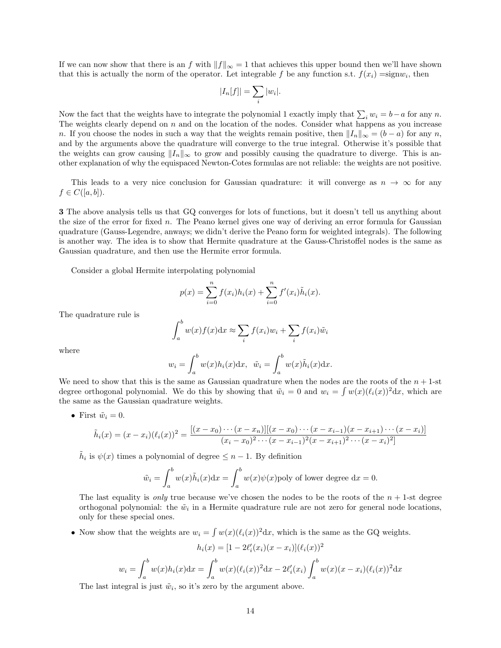If we can now show that there is an f with  $||f||_{\infty} = 1$  that achieves this upper bound then we'll have shown that this is actually the norm of the operator. Let integrable f be any function s.t.  $f(x_i) = signw_i$ , then

$$
|I_n[f]| = \sum_i |w_i|.
$$

Now the fact that the weights have to integrate the polynomial 1 exactly imply that  $\sum_i w_i = b - a$  for any n. The weights clearly depend on  $n$  and on the location of the nodes. Consider what happens as you increase n. If you choose the nodes in such a way that the weights remain positive, then  $||I_n||_{\infty} = (b - a)$  for any n, and by the arguments above the quadrature will converge to the true integral. Otherwise it's possible that the weights can grow causing  $||I_n||_{\infty}$  to grow and possibly causing the quadrature to diverge. This is another explanation of why the equispaced Newton-Cotes formulas are not reliable: the weights are not positive.

This leads to a very nice conclusion for Gaussian quadrature: it will converge as  $n \to \infty$  for any  $f \in C([a, b]).$ 

3 The above analysis tells us that GQ converges for lots of functions, but it doesn't tell us anything about the size of the error for fixed n. The Peano kernel gives one way of deriving an error formula for Gaussian quadrature (Gauss-Legendre, anways; we didn't derive the Peano form for weighted integrals). The following is another way. The idea is to show that Hermite quadrature at the Gauss-Christoffel nodes is the same as Gaussian quadrature, and then use the Hermite error formula.

Consider a global Hermite interpolating polynomial

$$
p(x) = \sum_{i=0}^{n} f(x_i)h_i(x) + \sum_{i=0}^{n} f'(x_i)\tilde{h}_i(x).
$$

The quadrature rule is

$$
\int_a^b w(x)f(x)dx \approx \sum_i f(x_i)w_i + \sum_i f(x_i)\tilde{w}_i
$$

where

$$
w_i = \int_a^b w(x)h_i(x)dx, \quad \tilde{w}_i = \int_a^b w(x)\tilde{h}_i(x)dx.
$$

We need to show that this is the same as Gaussian quadrature when the nodes are the roots of the  $n + 1$ -st degree orthogonal polynomial. We do this by showing that  $\tilde{w}_i = 0$  and  $w_i = \int w(x) (\ell_i(x))^2 dx$ , which are the same as the Gaussian quadrature weights.

• First  $\tilde{w}_i = 0$ .

$$
\tilde{h}_i(x) = (x - x_i)(\ell_i(x))^2 = \frac{[(x - x_0) \cdots (x - x_n)][(x - x_0) \cdots (x - x_{i-1})(x - x_{i+1}) \cdots (x - x_i)]}{(x_i - x_0)^2 \cdots (x - x_{i-1})^2 (x - x_{i+1})^2 \cdots (x - x_i)^2]}
$$

 $\tilde{h}_i$  is  $\psi(x)$  times a polynomial of degree  $\leq n-1$ . By definition

$$
\tilde{w}_i = \int_a^b w(x)\tilde{h}_i(x)dx = \int_a^b w(x)\psi(x) \text{poly of lower degree } dx = 0.
$$

The last equality is *only* true because we've chosen the nodes to be the roots of the  $n + 1$ -st degree orthogonal polynomial: the  $\tilde{w}_i$  in a Hermite quadrature rule are not zero for general node locations, only for these special ones.

• Now show that the weights are  $w_i = \int w(x) (\ell_i(x))^2 dx$ , which is the same as the GQ weights.

$$
h_i(x) = [1 - 2\ell'_i(x_i)(x - x_i)](\ell_i(x))^2
$$

$$
w_i = \int_a^b w(x)h_i(x)dx = \int_a^b w(x)(\ell_i(x))^2dx - 2\ell'_i(x_i)\int_a^b w(x)(x - x_i)(\ell_i(x))^2dx
$$

The last integral is just  $\tilde{w}_i$ , so it's zero by the argument above.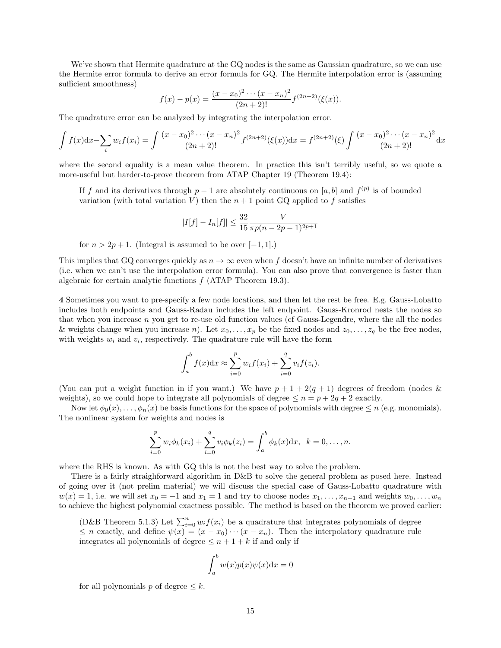We've shown that Hermite quadrature at the GQ nodes is the same as Gaussian quadrature, so we can use the Hermite error formula to derive an error formula for GQ. The Hermite interpolation error is (assuming sufficient smoothness)

$$
f(x) - p(x) = \frac{(x - x_0)^2 \cdots (x - x_n)^2}{(2n + 2)!} f^{(2n+2)}(\xi(x)).
$$

The quadrature error can be analyzed by integrating the interpolation error.

$$
\int f(x)dx - \sum_{i} w_i f(x_i) = \int \frac{(x - x_0)^2 \cdots (x - x_n)^2}{(2n + 2)!} f^{(2n+2)}(\xi(x))dx = f^{(2n+2)}(\xi) \int \frac{(x - x_0)^2 \cdots (x - x_n)^2}{(2n + 2)!} dx
$$

where the second equality is a mean value theorem. In practice this isn't terribly useful, so we quote a more-useful but harder-to-prove theorem from ATAP Chapter 19 (Theorem 19.4):

If f and its derivatives through  $p-1$  are absolutely continuous on [a, b] and  $f^{(p)}$  is of bounded variation (with total variation V) then the  $n + 1$  point GQ applied to f satisfies

$$
|I[f] - I_n[f]| \le \frac{32}{15} \frac{V}{\pi p(n-2p-1)^{2p+1}}
$$

for  $n > 2p + 1$ . (Integral is assumed to be over [−1, 1].)

This implies that GQ converges quickly as  $n \to \infty$  even when f doesn't have an infinite number of derivatives (i.e. when we can't use the interpolation error formula). You can also prove that convergence is faster than algebraic for certain analytic functions f (ATAP Theorem 19.3).

4 Sometimes you want to pre-specify a few node locations, and then let the rest be free. E.g. Gauss-Lobatto includes both endpoints and Gauss-Radau includes the left endpoint. Gauss-Kronrod nests the nodes so that when you increase  $n$  you get to re-use old function values (cf Gauss-Legendre, where the all the nodes & weights change when you increase n). Let  $x_0, \ldots, x_p$  be the fixed nodes and  $z_0, \ldots, z_q$  be the free nodes, with weights  $w_i$  and  $v_i$ , respectively. The quadrature rule will have the form

$$
\int_{a}^{b} f(x) dx \approx \sum_{i=0}^{p} w_{i} f(x_{i}) + \sum_{i=0}^{q} v_{i} f(z_{i}).
$$

(You can put a weight function in if you want.) We have  $p + 1 + 2(q + 1)$  degrees of freedom (nodes & weights), so we could hope to integrate all polynomials of degree  $\leq n = p + 2q + 2$  exactly.

Now let  $\phi_0(x), \ldots, \phi_n(x)$  be basis functions for the space of polynomials with degree  $\leq n$  (e.g. monomials). The nonlinear system for weights and nodes is

$$
\sum_{i=0}^{p} w_i \phi_k(x_i) + \sum_{i=0}^{q} v_i \phi_k(z_i) = \int_a^b \phi_k(x) dx, \ \ k = 0, \dots, n.
$$

where the RHS is known. As with GQ this is not the best way to solve the problem.

There is a fairly straighforward algorithm in D&B to solve the general problem as posed here. Instead of going over it (not prelim material) we will discuss the special case of Gauss-Lobatto quadrature with  $w(x) = 1$ , i.e. we will set  $x_0 = -1$  and  $x_1 = 1$  and try to choose nodes  $x_1, \ldots, x_{n-1}$  and weights  $w_0, \ldots, w_n$ to achieve the highest polynomial exactness possible. The method is based on the theorem we proved earlier:

(D&B Theorem 5.1.3) Let  $\sum_{i=0}^{n} w_i f(x_i)$  be a quadrature that integrates polynomials of degree  $\leq n$  exactly, and define  $\psi(x) = (x - x_0) \cdots (x - x_n)$ . Then the interpolatory quadrature rule integrates all polynomials of degree  $\leq n+1+k$  if and only if

$$
\int_a^b w(x)p(x)\psi(x)\mathrm{d}x = 0
$$

for all polynomials p of degree  $\leq k$ .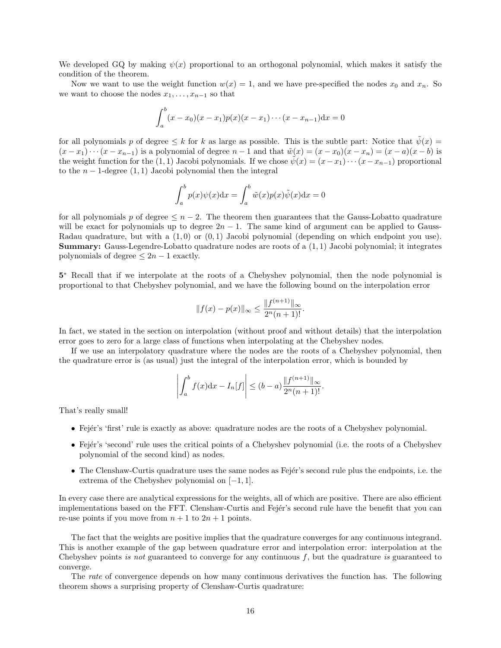We developed GQ by making  $\psi(x)$  proportional to an orthogonal polynomial, which makes it satisfy the condition of the theorem.

Now we want to use the weight function  $w(x) = 1$ , and we have pre-specified the nodes  $x_0$  and  $x_n$ . So we want to choose the nodes  $x_1, \ldots, x_{n-1}$  so that

$$
\int_a^b (x-x_0)(x-x_1)p(x)(x-x_1)\cdots(x-x_{n-1})dx=0
$$

for all polynomials p of degree  $\leq k$  for k as large as possible. This is the subtle part: Notice that  $\tilde{\psi}(x)$  =  $(x-x_1)\cdots(x-x_{n-1})$  is a polynomial of degree  $n-1$  and that  $\tilde{w}(x)=(x-x_0)(x-x_n)=(x-a)(x-b)$  is the weight function for the (1,1) Jacobi polynomials. If we chose  $\tilde{\psi}(x) = (x-x_1)\cdots(x-x_{n-1})$  proportional to the  $n-1$ -degree  $(1,1)$  Jacobi polynomial then the integral

$$
\int_a^b p(x)\psi(x)dx = \int_a^b \tilde{w}(x)p(x)\tilde{\psi}(x)dx = 0
$$

for all polynomials p of degree  $\leq n-2$ . The theorem then guarantees that the Gauss-Lobatto quadrature will be exact for polynomials up to degree  $2n - 1$ . The same kind of argument can be applied to Gauss-Radau quadrature, but with a  $(1,0)$  or  $(0,1)$  Jacobi polynomial (depending on which endpoint you use). Summary: Gauss-Legendre-Lobatto quadrature nodes are roots of a (1, 1) Jacobi polynomial; it integrates polynomials of degree  $\leq 2n - 1$  exactly.

5 <sup>∗</sup> Recall that if we interpolate at the roots of a Chebyshev polynomial, then the node polynomial is proportional to that Chebyshev polynomial, and we have the following bound on the interpolation error

$$
||f(x) - p(x)||_{\infty} \le \frac{||f^{(n+1)}||_{\infty}}{2^n(n+1)!}.
$$

In fact, we stated in the section on interpolation (without proof and without details) that the interpolation error goes to zero for a large class of functions when interpolating at the Chebyshev nodes.

If we use an interpolatory quadrature where the nodes are the roots of a Chebyshev polynomial, then the quadrature error is (as usual) just the integral of the interpolation error, which is bounded by

$$
\left| \int_{a}^{b} f(x) dx - I_{n}[f] \right| \leq (b - a) \frac{\| f^{(n+1)} \|_{\infty}}{2^{n}(n+1)!}.
$$

That's really small!

- Fejér's 'first' rule is exactly as above: quadrature nodes are the roots of a Chebyshev polynomial.
- Fejér's 'second' rule uses the critical points of a Chebyshev polynomial (i.e. the roots of a Chebyshev polynomial of the second kind) as nodes.
- The Clenshaw-Curtis quadrature uses the same nodes as Fejér's second rule plus the endpoints, i.e. the extrema of the Chebyshev polynomial on [−1, 1].

In every case there are analytical expressions for the weights, all of which are positive. There are also efficient implementations based on the FFT. Clenshaw-Curtis and Fejér's second rule have the benefit that you can re-use points if you move from  $n + 1$  to  $2n + 1$  points.

The fact that the weights are positive implies that the quadrature converges for any continuous integrand. This is another example of the gap between quadrature error and interpolation error: interpolation at the Chebyshev points is not guaranteed to converge for any continuous f, but the quadrature is guaranteed to converge.

The rate of convergence depends on how many continuous derivatives the function has. The following theorem shows a surprising property of Clenshaw-Curtis quadrature: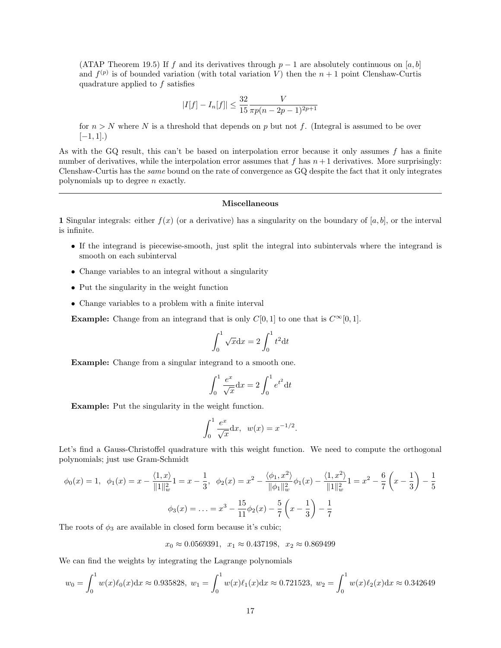(ATAP Theorem 19.5) If f and its derivatives through  $p-1$  are absolutely continuous on [a, b] and  $f^{(p)}$  is of bounded variation (with total variation V) then the  $n+1$  point Clenshaw-Curtis quadrature applied to f satisfies

$$
|I[f] - I_n[f]| \le \frac{32}{15} \frac{V}{\pi p(n-2p-1)^{2p+1}}
$$

for  $n > N$  where N is a threshold that depends on p but not f. (Integral is assumed to be over  $[-1, 1]$ .)

As with the GQ result, this can't be based on interpolation error because it only assumes f has a finite number of derivatives, while the interpolation error assumes that f has  $n+1$  derivatives. More surprisingly: Clenshaw-Curtis has the same bound on the rate of convergence as GQ despite the fact that it only integrates polynomials up to degree n exactly.

### Miscellaneous

1 Singular integrals: either  $f(x)$  (or a derivative) has a singularity on the boundary of  $[a, b]$ , or the interval is infinite.

- If the integrand is piecewise-smooth, just split the integral into subintervals where the integrand is smooth on each subinterval
- Change variables to an integral without a singularity
- Put the singularity in the weight function
- Change variables to a problem with a finite interval

**Example:** Change from an integrand that is only  $C[0, 1]$  to one that is  $C^{\infty}[0, 1]$ .

$$
\int_0^1 \sqrt{x} \mathrm{d}x = 2 \int_0^1 t^2 \mathrm{d}t
$$

Example: Change from a singular integrand to a smooth one.

$$
\int_0^1 \frac{e^x}{\sqrt{x}} dx = 2 \int_0^1 e^{t^2} dt
$$

Example: Put the singularity in the weight function.

$$
\int_0^1 \frac{e^x}{\sqrt{x}} dx, \ \ w(x) = x^{-1/2}
$$

.

Let's find a Gauss-Christoffel quadrature with this weight function. We need to compute the orthogonal polynomials; just use Gram-Schmidt

$$
\phi_0(x) = 1, \ \ \phi_1(x) = x - \frac{\langle 1, x \rangle}{\|1\|_{w}^{2}} = x - \frac{1}{3}, \ \ \phi_2(x) = x^{2} - \frac{\langle \phi_1, x^{2} \rangle}{\|\phi_1\|_{w}^{2}} \phi_1(x) - \frac{\langle 1, x^{2} \rangle}{\|1\|_{w}^{2}} = x^{2} - \frac{6}{7} \left(x - \frac{1}{3}\right) - \frac{1}{5}
$$

$$
\phi_3(x) = \dots = x^{3} - \frac{15}{11} \phi_2(x) - \frac{5}{7} \left(x - \frac{1}{3}\right) - \frac{1}{7}
$$

The roots of  $\phi_3$  are available in closed form because it's cubic;

 $x_0 \approx 0.0569391$ ,  $x_1 \approx 0.437198$ ,  $x_2 \approx 0.869499$ 

We can find the weights by integrating the Lagrange polynomials

$$
w_0 = \int_0^1 w(x)\ell_0(x)dx \approx 0.935828, \ w_1 = \int_0^1 w(x)\ell_1(x)dx \approx 0.721523, \ w_2 = \int_0^1 w(x)\ell_2(x)dx \approx 0.342649
$$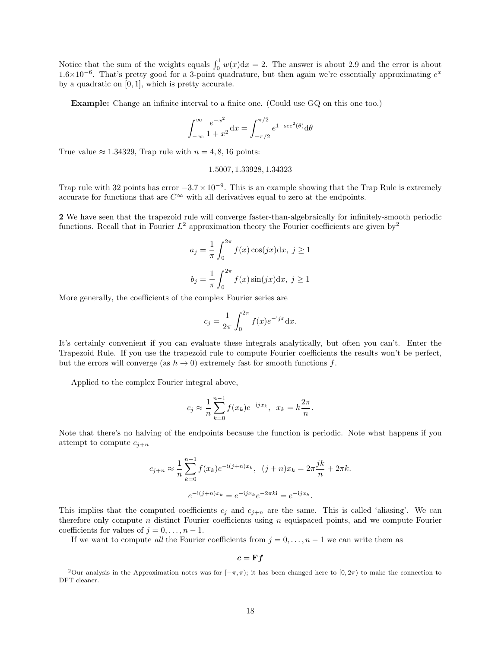Notice that the sum of the weights equals  $\int_0^1 w(x) dx = 2$ . The answer is about 2.9 and the error is about  $1.6\times10^{-6}$ . That's pretty good for a 3-point quadrature, but then again we're essentially approximating  $e^x$ by a quadratic on [0, 1], which is pretty accurate.

Example: Change an infinite interval to a finite one. (Could use GQ on this one too.)

$$
\int_{-\infty}^{\infty} \frac{e^{-x^2}}{1+x^2} dx = \int_{-\pi/2}^{\pi/2} e^{1-\sec^2(\theta)} d\theta
$$

True value  $\approx 1.34329$ . Trap rule with  $n = 4, 8, 16$  points:

#### 1.5007, 1.33928, 1.34323

Trap rule with 32 points has error  $-3.7 \times 10^{-9}$ . This is an example showing that the Trap Rule is extremely accurate for functions that are  $C^{\infty}$  with all derivatives equal to zero at the endpoints.

2 We have seen that the trapezoid rule will converge faster-than-algebraically for infinitely-smooth periodic functions. Recall that in Fourier  $L^2$  $L^2$  approximation theory the Fourier coefficients are given by  $2$ 

$$
a_j = \frac{1}{\pi} \int_0^{2\pi} f(x) \cos(jx) dx, \ j \ge 1
$$

$$
b_j = \frac{1}{\pi} \int_0^{2\pi} f(x) \sin(jx) dx, \ j \ge 1
$$

More generally, the coefficients of the complex Fourier series are

$$
c_j = \frac{1}{2\pi} \int_0^{2\pi} f(x)e^{-ijx} \mathrm{d}x.
$$

It's certainly convenient if you can evaluate these integrals analytically, but often you can't. Enter the Trapezoid Rule. If you use the trapezoid rule to compute Fourier coefficients the results won't be perfect, but the errors will converge (as  $h \to 0$ ) extremely fast for smooth functions f.

Applied to the complex Fourier integral above,

$$
c_j \approx \frac{1}{n} \sum_{k=0}^{n-1} f(x_k) e^{-ijx_k}, \ \ x_k = k \frac{2\pi}{n}.
$$

Note that there's no halving of the endpoints because the function is periodic. Note what happens if you attempt to compute  $c_{j+n}$ 

$$
c_{j+n} \approx \frac{1}{n} \sum_{k=0}^{n-1} f(x_k) e^{-i(j+n)x_k}, \quad (j+n)x_k = 2\pi \frac{jk}{n} + 2\pi k.
$$

$$
e^{-i(j+n)x_k} = e^{-ijx_k} e^{-2\pi k i} = e^{-ijx_k}.
$$

This implies that the computed coefficients  $c_i$  and  $c_{i+n}$  are the same. This is called 'aliasing'. We can therefore only compute n distinct Fourier coefficients using  $n$  equispaced points, and we compute Fourier coefficients for values of  $j = 0, \ldots, n - 1$ .

If we want to compute all the Fourier coefficients from  $j = 0, \ldots, n - 1$  we can write them as

$$
c = \mathbf{F}f
$$

<span id="page-17-0"></span><sup>&</sup>lt;sup>2</sup>Our analysis in the Approximation notes was for  $[-\pi, \pi]$ ; it has been changed here to  $[0, 2\pi)$  to make the connection to DFT cleaner.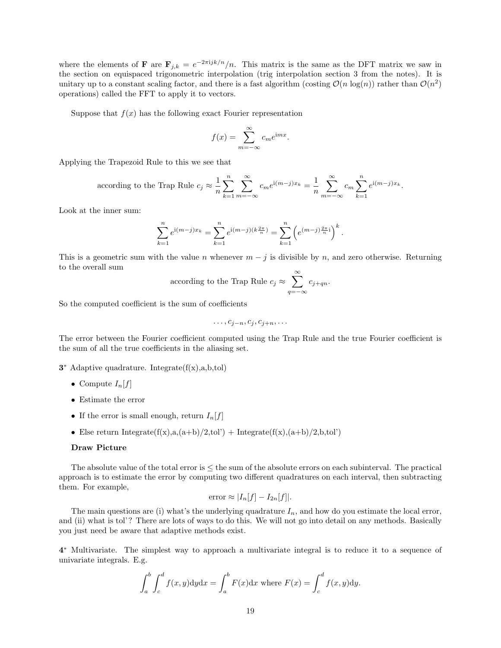where the elements of **F** are  $\mathbf{F}_{j,k} = e^{-2\pi i jk/n}/n$ . This matrix is the same as the DFT matrix we saw in the section on equispaced trigonometric interpolation (trig interpolation section 3 from the notes). It is unitary up to a constant scaling factor, and there is a fast algorithm (costing  $\mathcal{O}(n \log(n))$ ) rather than  $\mathcal{O}(n^2)$ operations) called the FFT to apply it to vectors.

Suppose that  $f(x)$  has the following exact Fourier representation

$$
f(x) = \sum_{m = -\infty}^{\infty} c_m e^{imx}.
$$

Applying the Trapezoid Rule to this we see that

according to the Trap Rule 
$$
c_j \approx \frac{1}{n} \sum_{k=1}^n \sum_{m=-\infty}^{\infty} c_m e^{i(m-j)x_k} = \frac{1}{n} \sum_{m=-\infty}^{\infty} c_m \sum_{k=1}^n e^{i(m-j)x_k}
$$
.

Look at the inner sum:

$$
\sum_{k=1}^{n} e^{i(m-j)x_k} = \sum_{k=1}^{n} e^{i(m-j)(k\frac{2\pi}{n})} = \sum_{k=1}^{n} \left( e^{(m-j)\frac{2\pi}{n}i} \right)^k.
$$

This is a geometric sum with the value n whenever  $m - j$  is divisible by n, and zero otherwise. Returning to the overall sum

according to the Trap Rule 
$$
c_j \approx \sum_{q=-\infty}^{\infty} c_{j+qn}
$$
.

So the computed coefficient is the sum of coefficients

$$
\ldots, c_{j-n}, c_j, c_{j+n}, \ldots
$$

The error between the Fourier coefficient computed using the Trap Rule and the true Fourier coefficient is the sum of all the true coefficients in the aliasing set.

- $3^*$  Adaptive quadrature. Integrate $(f(x),a,b,tol)$ 
	- Compute  $I_n[f]$
	- Estimate the error
	- If the error is small enough, return  $I_n[f]$
	- Else return Integrate $(f(x),a,(a+b)/2,tol')$  + Integrate $(f(x),(a+b)/2,b,tol')$

# Draw Picture

The absolute value of the total error is  $\leq$  the sum of the absolute errors on each subinterval. The practical approach is to estimate the error by computing two different quadratures on each interval, then subtracting them. For example,

error 
$$
\approx |I_n[f] - I_{2n}[f]|
$$
.

The main questions are (i) what's the underlying quadrature  $I_n$ , and how do you estimate the local error, and (ii) what is tol'? There are lots of ways to do this. We will not go into detail on any methods. Basically you just need be aware that adaptive methods exist.

4 <sup>∗</sup> Multivariate. The simplest way to approach a multivariate integral is to reduce it to a sequence of univariate integrals. E.g.

$$
\int_a^b \int_c^d f(x, y) dy dx = \int_a^b F(x) dx
$$
 where  $F(x) = \int_c^d f(x, y) dy$ .